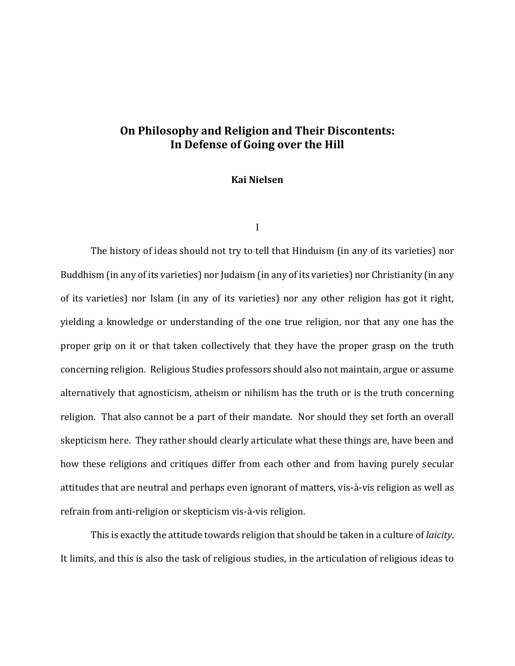# **On Philosophy and Religion and Their Discontents: In Defense of Going over the Hill**

## **Kai Nielsen**

I

The history of ideas should not try to tell that Hinduism (in any of its varieties) nor Buddhism (in any of its varieties) nor Judaism (in any of its varieties) nor Christianity (in any of its varieties) nor Islam (in any of its varieties) nor any other religion has got it right, yielding a knowledge or understanding of the one true religion, nor that any one has the proper grip on it or that taken collectively that they have the proper grasp on the truth concerning religion. Religious Studies professors should also not maintain, argue or assume alternatively that agnosticism, atheism or nihilism has the truth or is the truth concerning religion. That also cannot be a part of their mandate. Nor should they set forth an overall skepticism here. They rather should clearly articulate what these things are, have been and how these religions and critiques differ from each other and from having purely secular attitudes that are neutral and perhaps even ignorant of matters, vis-à-vis religion as well as refrain from anti-religion or skepticism vis-à-vis religion.

This is exactly the attitude towards religion that should be taken in a culture of *laicity*. It limits, and this is also the task of religious studies, in the articulation of religious ideas to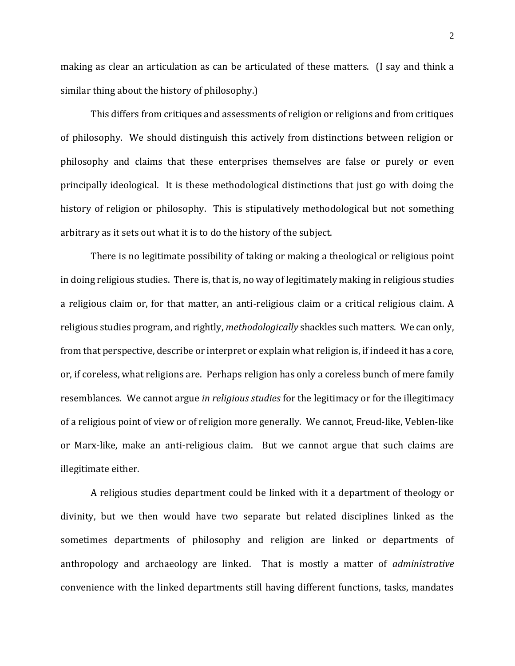making as clear an articulation as can be articulated of these matters. (I say and think a similar thing about the history of philosophy.)

This differs from critiques and assessments of religion or religions and from critiques of philosophy. We should distinguish this actively from distinctions between religion or philosophy and claims that these enterprises themselves are false or purely or even principally ideological. It is these methodological distinctions that just go with doing the history of religion or philosophy. This is stipulatively methodological but not something arbitrary as it sets out what it is to do the history of the subject.

There is no legitimate possibility of taking or making a theological or religious point in doing religious studies. There is, that is, no way of legitimately making in religious studies a religious claim or, for that matter, an anti-religious claim or a critical religious claim. A religious studies program, and rightly, *methodologically* shackles such matters. We can only, from that perspective, describe or interpret or explain what religion is, if indeed it has a core, or, if coreless, what religions are. Perhaps religion has only a coreless bunch of mere family resemblances. We cannot argue *in religious studies* for the legitimacy or for the illegitimacy of a religious point of view or of religion more generally. We cannot, Freud-like, Veblen-like or Marx-like, make an anti-religious claim. But we cannot argue that such claims are illegitimate either.

A religious studies department could be linked with it a department of theology or divinity, but we then would have two separate but related disciplines linked as the sometimes departments of philosophy and religion are linked or departments of anthropology and archaeology are linked. That is mostly a matter of *administrative*  convenience with the linked departments still having different functions, tasks, mandates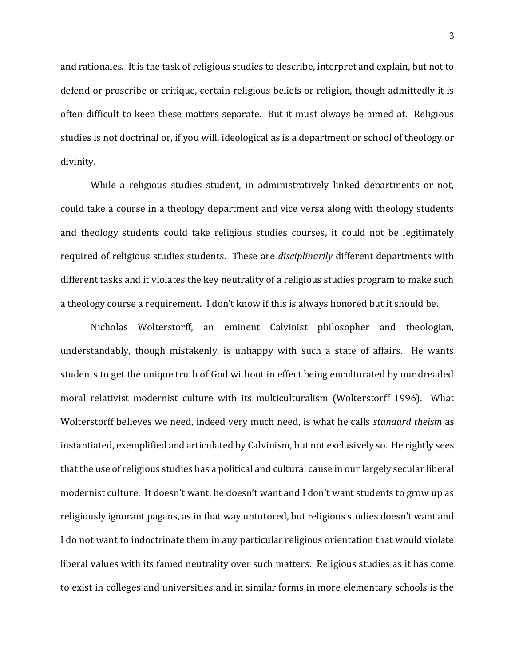and rationales. It is the task of religious studies to describe, interpret and explain, but not to defend or proscribe or critique, certain religious beliefs or religion, though admittedly it is often difficult to keep these matters separate. But it must always be aimed at. Religious studies is not doctrinal or, if you will, ideological as is a department or school of theology or divinity.

While a religious studies student, in administratively linked departments or not, could take a course in a theology department and vice versa along with theology students and theology students could take religious studies courses, it could not be legitimately required of religious studies students. These are *disciplinarily* different departments with different tasks and it violates the key neutrality of a religious studies program to make such a theology course a requirement. I don't know if this is always honored but it should be.

Nicholas Wolterstorff, an eminent Calvinist philosopher and theologian, understandably, though mistakenly, is unhappy with such a state of affairs. He wants students to get the unique truth of God without in effect being enculturated by our dreaded moral relativist modernist culture with its multiculturalism (Wolterstorff 1996). What Wolterstorff believes we need, indeed very much need, is what he calls *standard theism* as instantiated, exemplified and articulated by Calvinism, but not exclusively so. He rightly sees that the use of religious studies has a political and cultural cause in our largely secular liberal modernist culture. It doesn't want, he doesn't want and I don't want students to grow up as religiously ignorant pagans, as in that way untutored, but religious studies doesn't want and I do not want to indoctrinate them in any particular religious orientation that would violate liberal values with its famed neutrality over such matters. Religious studies as it has come to exist in colleges and universities and in similar forms in more elementary schools is the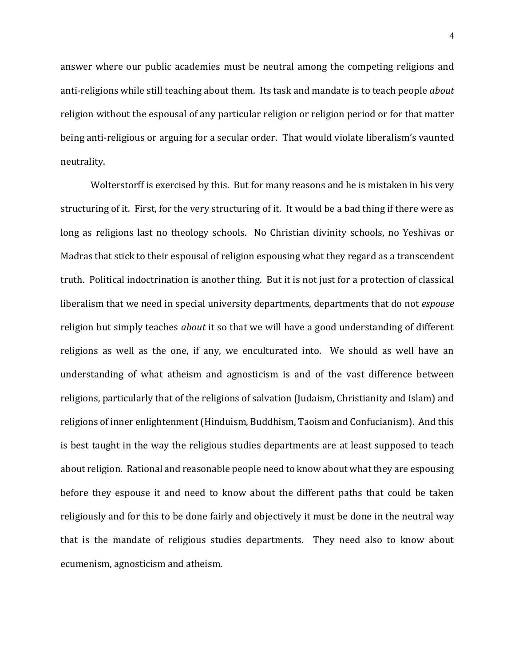answer where our public academies must be neutral among the competing religions and anti-religions while still teaching about them. Its task and mandate is to teach people *about*  religion without the espousal of any particular religion or religion period or for that matter being anti-religious or arguing for a secular order. That would violate liberalism's vaunted neutrality.

Wolterstorff is exercised by this. But for many reasons and he is mistaken in his very structuring of it. First, for the very structuring of it. It would be a bad thing if there were as long as religions last no theology schools. No Christian divinity schools, no Yeshivas or Madras that stick to their espousal of religion espousing what they regard as a transcendent truth. Political indoctrination is another thing. But it is not just for a protection of classical liberalism that we need in special university departments, departments that do not *espouse*  religion but simply teaches *about* it so that we will have a good understanding of different religions as well as the one, if any, we enculturated into. We should as well have an understanding of what atheism and agnosticism is and of the vast difference between religions, particularly that of the religions of salvation (Judaism, Christianity and Islam) and religions of inner enlightenment (Hinduism, Buddhism, Taoism and Confucianism). And this is best taught in the way the religious studies departments are at least supposed to teach about religion. Rational and reasonable people need to know about what they are espousing before they espouse it and need to know about the different paths that could be taken religiously and for this to be done fairly and objectively it must be done in the neutral way that is the mandate of religious studies departments. They need also to know about ecumenism, agnosticism and atheism.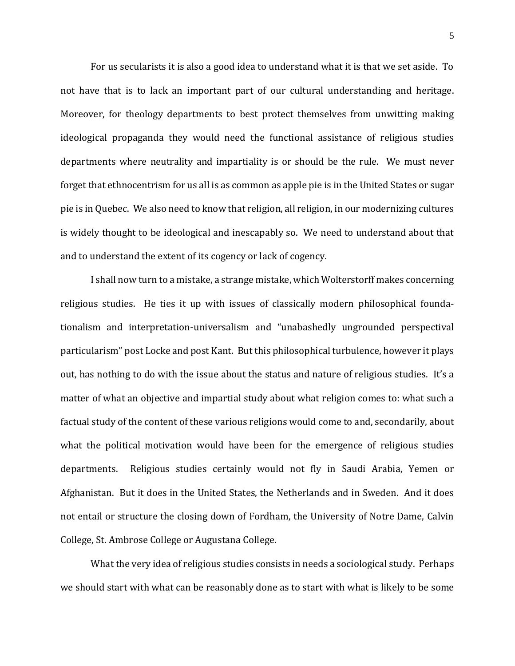For us secularists it is also a good idea to understand what it is that we set aside. To not have that is to lack an important part of our cultural understanding and heritage. Moreover, for theology departments to best protect themselves from unwitting making ideological propaganda they would need the functional assistance of religious studies departments where neutrality and impartiality is or should be the rule. We must never forget that ethnocentrism for us all is as common as apple pie is in the United States or sugar pie is in Quebec. We also need to know that religion, all religion, in our modernizing cultures is widely thought to be ideological and inescapably so. We need to understand about that and to understand the extent of its cogency or lack of cogency.

I shall now turn to a mistake, a strange mistake, which Wolterstorff makes concerning religious studies. He ties it up with issues of classically modern philosophical foundationalism and interpretation-universalism and "unabashedly ungrounded perspectival particularism" post Locke and post Kant. But this philosophical turbulence, however it plays out, has nothing to do with the issue about the status and nature of religious studies. It's a matter of what an objective and impartial study about what religion comes to: what such a factual study of the content of these various religions would come to and, secondarily, about what the political motivation would have been for the emergence of religious studies departments. Religious studies certainly would not fly in Saudi Arabia, Yemen or Afghanistan. But it does in the United States, the Netherlands and in Sweden. And it does not entail or structure the closing down of Fordham, the University of Notre Dame, Calvin College, St. Ambrose College or Augustana College.

What the very idea of religious studies consists in needs a sociological study. Perhaps we should start with what can be reasonably done as to start with what is likely to be some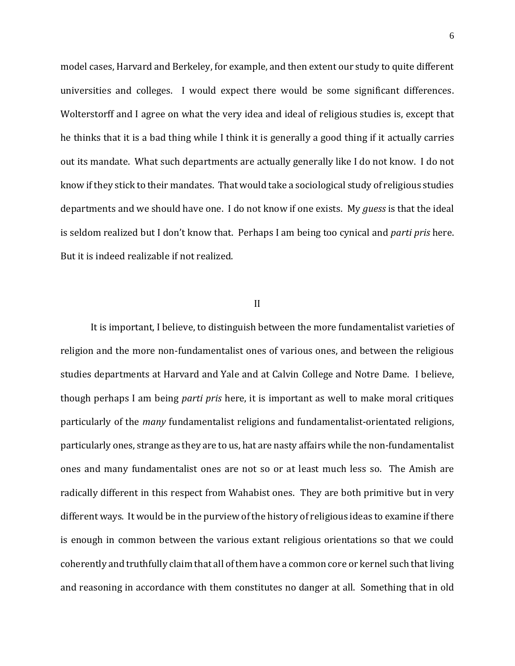model cases, Harvard and Berkeley, for example, and then extent our study to quite different universities and colleges. I would expect there would be some significant differences. Wolterstorff and I agree on what the very idea and ideal of religious studies is, except that he thinks that it is a bad thing while I think it is generally a good thing if it actually carries out its mandate. What such departments are actually generally like I do not know. I do not know if they stick to their mandates. That would take a sociological study of religious studies departments and we should have one. I do not know if one exists. My *guess* is that the ideal is seldom realized but I don't know that. Perhaps I am being too cynical and *parti pris* here. But it is indeed realizable if not realized.

#### II

It is important, I believe, to distinguish between the more fundamentalist varieties of religion and the more non-fundamentalist ones of various ones, and between the religious studies departments at Harvard and Yale and at Calvin College and Notre Dame. I believe, though perhaps I am being *parti pris* here, it is important as well to make moral critiques particularly of the *many* fundamentalist religions and fundamentalist-orientated religions, particularly ones, strange as they are to us, hat are nasty affairs while the non-fundamentalist ones and many fundamentalist ones are not so or at least much less so. The Amish are radically different in this respect from Wahabist ones. They are both primitive but in very different ways. It would be in the purview of the history of religious ideas to examine if there is enough in common between the various extant religious orientations so that we could coherently and truthfully claim that all of them have a common core or kernel such that living and reasoning in accordance with them constitutes no danger at all. Something that in old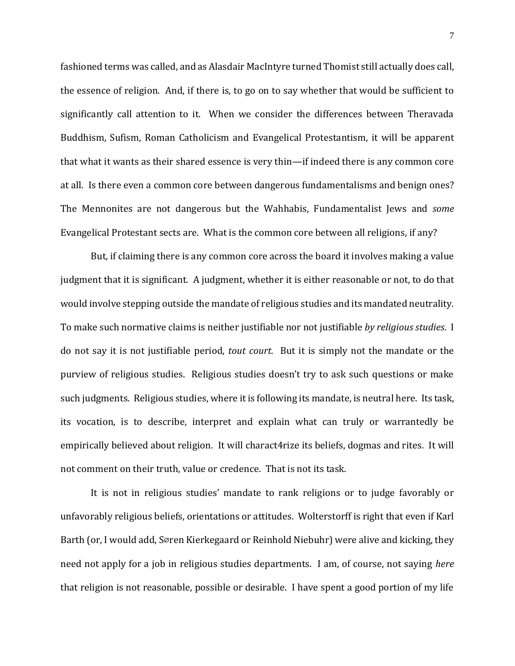fashioned terms was called, and as Alasdair MacIntyre turned Thomist still actually does call, the essence of religion. And, if there is, to go on to say whether that would be sufficient to significantly call attention to it. When we consider the differences between Theravada Buddhism, Sufism, Roman Catholicism and Evangelical Protestantism, it will be apparent that what it wants as their shared essence is very thin—if indeed there is any common core at all. Is there even a common core between dangerous fundamentalisms and benign ones? The Mennonites are not dangerous but the Wahhabis, Fundamentalist Jews and *some*  Evangelical Protestant sects are. What is the common core between all religions, if any?

But, if claiming there is any common core across the board it involves making a value judgment that it is significant. A judgment, whether it is either reasonable or not, to do that would involve stepping outside the mandate of religious studies and its mandated neutrality. To make such normative claims is neither justifiable nor not justifiable *by religious studies*. I do not say it is not justifiable period, *tout court.* But it is simply not the mandate or the purview of religious studies. Religious studies doesn't try to ask such questions or make such judgments. Religious studies, where it is following its mandate, is neutral here. Its task, its vocation, is to describe, interpret and explain what can truly or warrantedly be empirically believed about religion. It will charact4rize its beliefs, dogmas and rites. It will not comment on their truth, value or credence. That is not its task.

It is not in religious studies' mandate to rank religions or to judge favorably or unfavorably religious beliefs, orientations or attitudes. Wolterstorff is right that even if Karl Barth (or, I would add, Søren Kierkegaard or Reinhold Niebuhr) were alive and kicking, they need not apply for a job in religious studies departments. I am, of course, not saying *here*  that religion is not reasonable, possible or desirable. I have spent a good portion of my life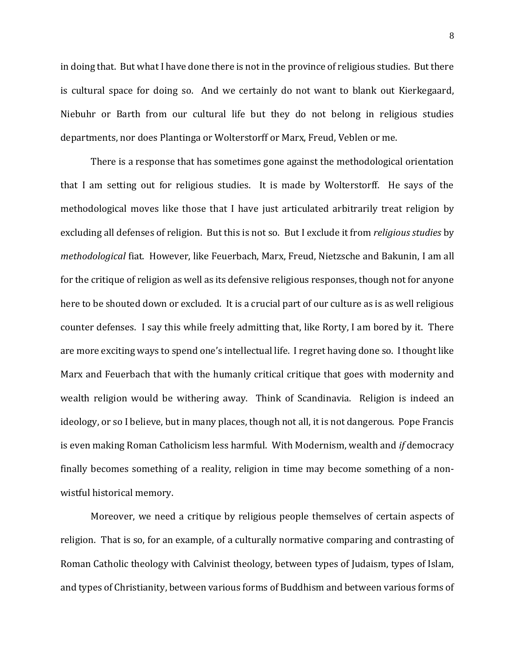in doing that. But what I have done there is not in the province of religious studies. But there is cultural space for doing so. And we certainly do not want to blank out Kierkegaard, Niebuhr or Barth from our cultural life but they do not belong in religious studies departments, nor does Plantinga or Wolterstorff or Marx, Freud, Veblen or me.

There is a response that has sometimes gone against the methodological orientation that I am setting out for religious studies. It is made by Wolterstorff. He says of the methodological moves like those that I have just articulated arbitrarily treat religion by excluding all defenses of religion. But this is not so. But I exclude it from *religious studies* by *methodological* fiat. However, like Feuerbach, Marx, Freud, Nietzsche and Bakunin, I am all for the critique of religion as well as its defensive religious responses, though not for anyone here to be shouted down or excluded. It is a crucial part of our culture as is as well religious counter defenses. I say this while freely admitting that, like Rorty, I am bored by it. There are more exciting ways to spend one's intellectual life. I regret having done so. I thought like Marx and Feuerbach that with the humanly critical critique that goes with modernity and wealth religion would be withering away. Think of Scandinavia. Religion is indeed an ideology, or so I believe, but in many places, though not all, it is not dangerous. Pope Francis is even making Roman Catholicism less harmful. With Modernism, wealth and *if* democracy finally becomes something of a reality, religion in time may become something of a nonwistful historical memory.

Moreover, we need a critique by religious people themselves of certain aspects of religion. That is so, for an example, of a culturally normative comparing and contrasting of Roman Catholic theology with Calvinist theology, between types of Judaism, types of Islam, and types of Christianity, between various forms of Buddhism and between various forms of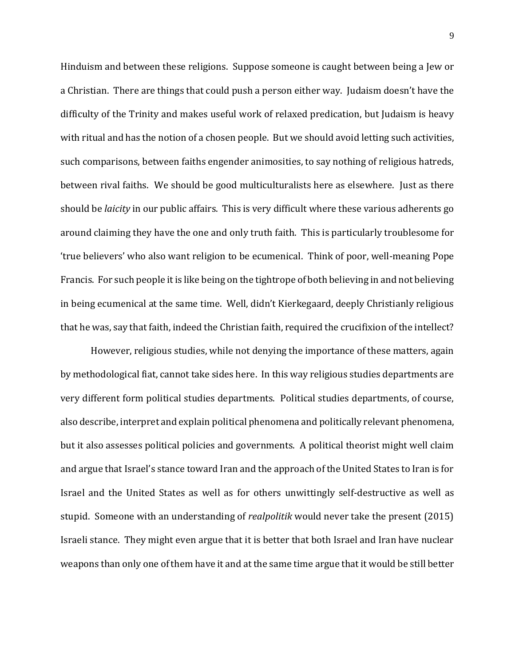Hinduism and between these religions. Suppose someone is caught between being a Jew or a Christian. There are things that could push a person either way. Judaism doesn't have the difficulty of the Trinity and makes useful work of relaxed predication, but Judaism is heavy with ritual and has the notion of a chosen people. But we should avoid letting such activities, such comparisons, between faiths engender animosities, to say nothing of religious hatreds, between rival faiths. We should be good multiculturalists here as elsewhere. Just as there should be *laicity* in our public affairs. This is very difficult where these various adherents go around claiming they have the one and only truth faith. This is particularly troublesome for 'true believers' who also want religion to be ecumenical. Think of poor, well-meaning Pope Francis. For such people it is like being on the tightrope of both believing in and not believing in being ecumenical at the same time. Well, didn't Kierkegaard, deeply Christianly religious that he was, say that faith, indeed the Christian faith, required the crucifixion of the intellect?

However, religious studies, while not denying the importance of these matters, again by methodological fiat, cannot take sides here. In this way religious studies departments are very different form political studies departments. Political studies departments, of course, also describe, interpret and explain political phenomena and politically relevant phenomena, but it also assesses political policies and governments. A political theorist might well claim and argue that Israel's stance toward Iran and the approach of the United States to Iran is for Israel and the United States as well as for others unwittingly self-destructive as well as stupid. Someone with an understanding of *realpolitik* would never take the present (2015) Israeli stance. They might even argue that it is better that both Israel and Iran have nuclear weapons than only one of them have it and at the same time argue that it would be still better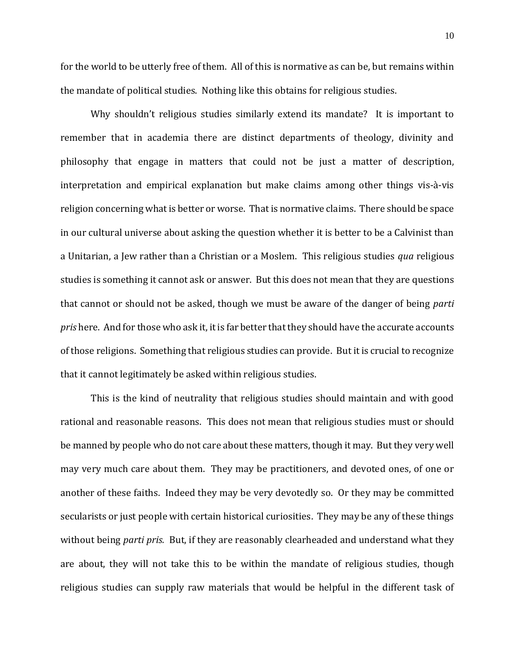for the world to be utterly free of them. All of this is normative as can be, but remains within the mandate of political studies. Nothing like this obtains for religious studies.

Why shouldn't religious studies similarly extend its mandate? It is important to remember that in academia there are distinct departments of theology, divinity and philosophy that engage in matters that could not be just a matter of description, interpretation and empirical explanation but make claims among other things vis-à-vis religion concerning what is better or worse. That is normative claims. There should be space in our cultural universe about asking the question whether it is better to be a Calvinist than a Unitarian, a Jew rather than a Christian or a Moslem. This religious studies *qua* religious studies is something it cannot ask or answer. But this does not mean that they are questions that cannot or should not be asked, though we must be aware of the danger of being *parti pris* here.And for those who ask it, it is far better that they should have the accurate accounts of those religions. Something that religious studies can provide. But it is crucial to recognize that it cannot legitimately be asked within religious studies.

This is the kind of neutrality that religious studies should maintain and with good rational and reasonable reasons. This does not mean that religious studies must or should be manned by people who do not care about these matters, though it may. But they very well may very much care about them. They may be practitioners, and devoted ones, of one or another of these faiths. Indeed they may be very devotedly so. Or they may be committed secularists or just people with certain historical curiosities. They may be any of these things without being *parti pris.* But, if they are reasonably clearheaded and understand what they are about, they will not take this to be within the mandate of religious studies, though religious studies can supply raw materials that would be helpful in the different task of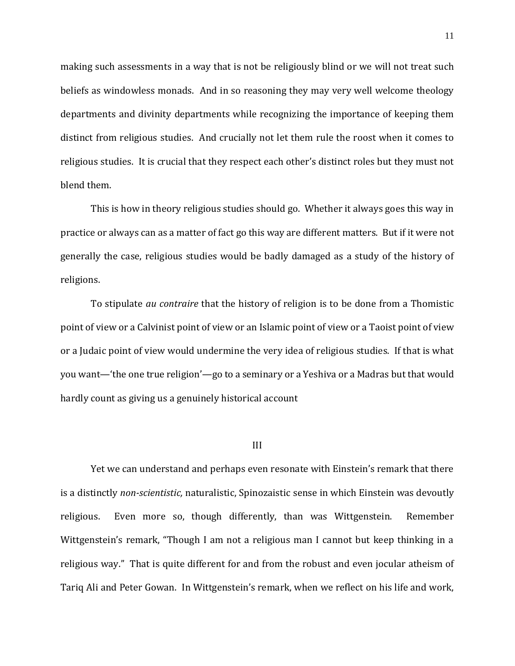making such assessments in a way that is not be religiously blind or we will not treat such beliefs as windowless monads. And in so reasoning they may very well welcome theology departments and divinity departments while recognizing the importance of keeping them distinct from religious studies. And crucially not let them rule the roost when it comes to religious studies. It is crucial that they respect each other's distinct roles but they must not blend them.

This is how in theory religious studies should go. Whether it always goes this way in practice or always can as a matter of fact go this way are different matters. But if it were not generally the case, religious studies would be badly damaged as a study of the history of religions.

To stipulate *au contraire* that the history of religion is to be done from a Thomistic point of view or a Calvinist point of view or an Islamic point of view or a Taoist point of view or a Judaic point of view would undermine the very idea of religious studies. If that is what you want—'the one true religion'—go to a seminary or a Yeshiva or a Madras but that would hardly count as giving us a genuinely historical account

#### III

Yet we can understand and perhaps even resonate with Einstein's remark that there is a distinctly *non-scientistic,* naturalistic, Spinozaistic sense in which Einstein was devoutly religious. Even more so, though differently, than was Wittgenstein. Remember Wittgenstein's remark, "Though I am not a religious man I cannot but keep thinking in a religious way." That is quite different for and from the robust and even jocular atheism of Tariq Ali and Peter Gowan. In Wittgenstein's remark, when we reflect on his life and work,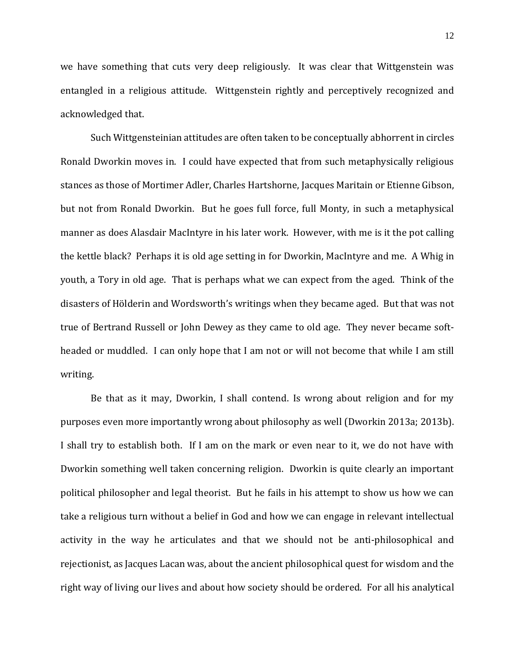we have something that cuts very deep religiously. It was clear that Wittgenstein was entangled in a religious attitude. Wittgenstein rightly and perceptively recognized and acknowledged that.

Such Wittgensteinian attitudes are often taken to be conceptually abhorrent in circles Ronald Dworkin moves in. I could have expected that from such metaphysically religious stances as those of Mortimer Adler, Charles Hartshorne, Jacques Maritain or Etienne Gibson, but not from Ronald Dworkin. But he goes full force, full Monty, in such a metaphysical manner as does Alasdair MacIntyre in his later work. However, with me is it the pot calling the kettle black? Perhaps it is old age setting in for Dworkin, MacIntyre and me. A Whig in youth, a Tory in old age. That is perhaps what we can expect from the aged. Think of the disasters of Hölderin and Wordsworth's writings when they became aged. But that was not true of Bertrand Russell or John Dewey as they came to old age. They never became softheaded or muddled. I can only hope that I am not or will not become that while I am still writing.

Be that as it may, Dworkin, I shall contend. Is wrong about religion and for my purposes even more importantly wrong about philosophy as well (Dworkin 2013a; 2013b). I shall try to establish both. If I am on the mark or even near to it, we do not have with Dworkin something well taken concerning religion. Dworkin is quite clearly an important political philosopher and legal theorist. But he fails in his attempt to show us how we can take a religious turn without a belief in God and how we can engage in relevant intellectual activity in the way he articulates and that we should not be anti-philosophical and rejectionist, as Jacques Lacan was, about the ancient philosophical quest for wisdom and the right way of living our lives and about how society should be ordered. For all his analytical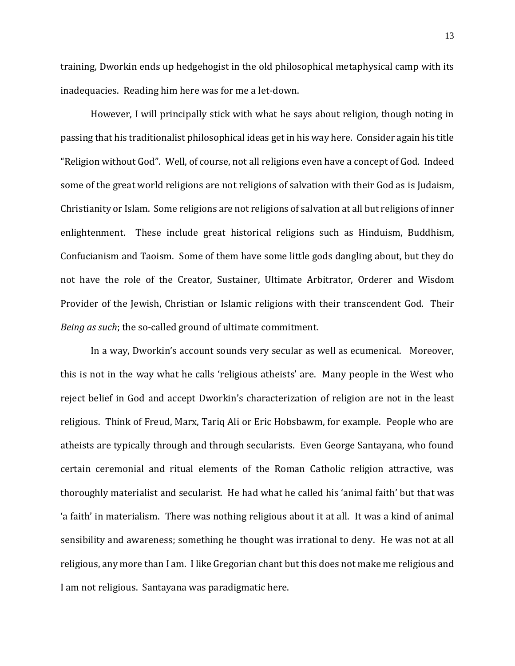training, Dworkin ends up hedgehogist in the old philosophical metaphysical camp with its inadequacies. Reading him here was for me a let-down.

However, I will principally stick with what he says about religion, though noting in passing that his traditionalist philosophical ideas get in his way here. Consider again his title "Religion without God". Well, of course, not all religions even have a concept of God. Indeed some of the great world religions are not religions of salvation with their God as is Judaism, Christianity or Islam. Some religions are not religions of salvation at all but religions of inner enlightenment. These include great historical religions such as Hinduism, Buddhism, Confucianism and Taoism. Some of them have some little gods dangling about, but they do not have the role of the Creator, Sustainer, Ultimate Arbitrator, Orderer and Wisdom Provider of the Jewish, Christian or Islamic religions with their transcendent God. Their *Being as such*; the so-called ground of ultimate commitment.

In a way, Dworkin's account sounds very secular as well as ecumenical. Moreover, this is not in the way what he calls 'religious atheists' are. Many people in the West who reject belief in God and accept Dworkin's characterization of religion are not in the least religious. Think of Freud, Marx, Tariq Ali or Eric Hobsbawm, for example. People who are atheists are typically through and through secularists. Even George Santayana, who found certain ceremonial and ritual elements of the Roman Catholic religion attractive, was thoroughly materialist and secularist. He had what he called his 'animal faith' but that was 'a faith' in materialism. There was nothing religious about it at all. It was a kind of animal sensibility and awareness; something he thought was irrational to deny. He was not at all religious, any more than I am. I like Gregorian chant but this does not make me religious and I am not religious. Santayana was paradigmatic here.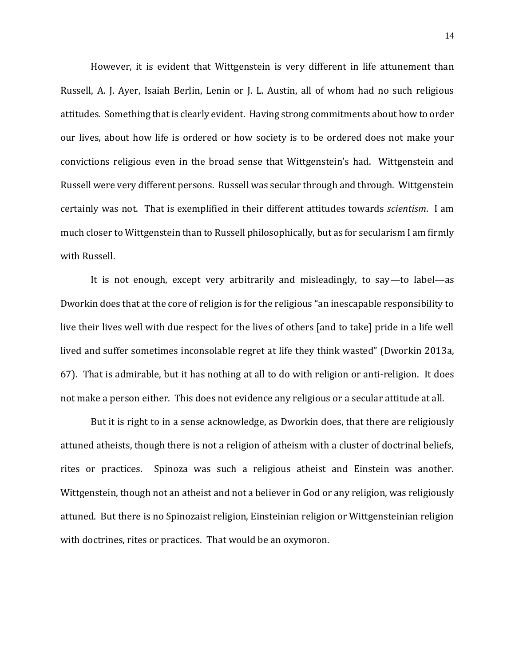However, it is evident that Wittgenstein is very different in life attunement than Russell, A. J. Ayer, Isaiah Berlin, Lenin or J. L. Austin, all of whom had no such religious attitudes. Something that is clearly evident. Having strong commitments about how to order our lives, about how life is ordered or how society is to be ordered does not make your convictions religious even in the broad sense that Wittgenstein's had. Wittgenstein and Russell were very different persons. Russell was secular through and through. Wittgenstein certainly was not. That is exemplified in their different attitudes towards *scientism*. I am much closer to Wittgenstein than to Russell philosophically, but as for secularism I am firmly with Russell.

It is not enough, except very arbitrarily and misleadingly, to say—to label—as Dworkin does that at the core of religion is for the religious "an inescapable responsibility to live their lives well with due respect for the lives of others [and to take] pride in a life well lived and suffer sometimes inconsolable regret at life they think wasted" (Dworkin 2013a, 67). That is admirable, but it has nothing at all to do with religion or anti-religion. It does not make a person either. This does not evidence any religious or a secular attitude at all.

But it is right to in a sense acknowledge, as Dworkin does, that there are religiously attuned atheists, though there is not a religion of atheism with a cluster of doctrinal beliefs, rites or practices. Spinoza was such a religious atheist and Einstein was another. Wittgenstein, though not an atheist and not a believer in God or any religion, was religiously attuned. But there is no Spinozaist religion, Einsteinian religion or Wittgensteinian religion with doctrines, rites or practices. That would be an oxymoron.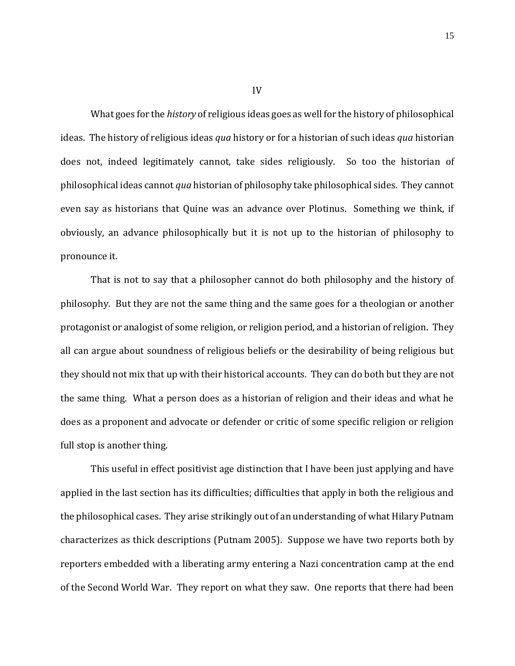What goes for the *history* of religious ideas goes as well for the history of philosophical ideas. The history of religious ideas *qua* history or for a historian of such ideas *qua* historian does not, indeed legitimately cannot, take sides religiously. So too the historian of philosophical ideas cannot *qua* historian of philosophy take philosophical sides. They cannot even say as historians that Quine was an advance over Plotinus. Something we think, if obviously, an advance philosophically but it is not up to the historian of philosophy to pronounce it.

That is not to say that a philosopher cannot do both philosophy and the history of philosophy. But they are not the same thing and the same goes for a theologian or another protagonist or analogist of some religion, or religion period, and a historian of religion. They all can argue about soundness of religious beliefs or the desirability of being religious but they should not mix that up with their historical accounts. They can do both but they are not the same thing. What a person does as a historian of religion and their ideas and what he does as a proponent and advocate or defender or critic of some specific religion or religion full stop is another thing.

This useful in effect positivist age distinction that I have been just applying and have applied in the last section has its difficulties; difficulties that apply in both the religious and the philosophical cases. They arise strikingly out of an understanding of what Hilary Putnam characterizes as thick descriptions (Putnam 2005). Suppose we have two reports both by reporters embedded with a liberating army entering a Nazi concentration camp at the end of the Second World War. They report on what they saw. One reports that there had been

IV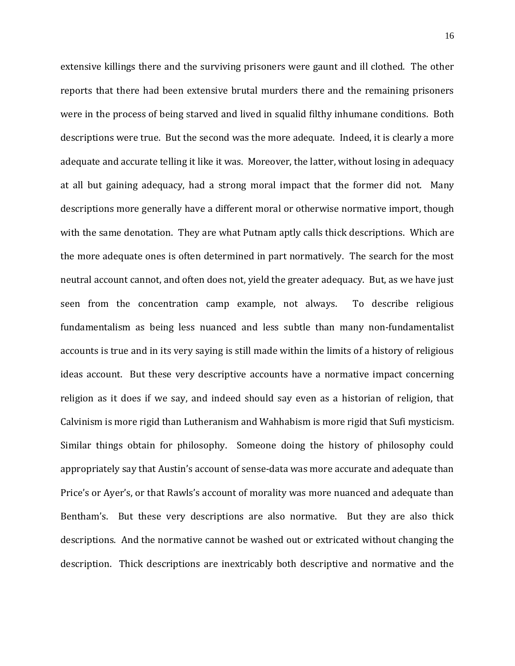extensive killings there and the surviving prisoners were gaunt and ill clothed. The other reports that there had been extensive brutal murders there and the remaining prisoners were in the process of being starved and lived in squalid filthy inhumane conditions. Both descriptions were true. But the second was the more adequate. Indeed, it is clearly a more adequate and accurate telling it like it was. Moreover, the latter, without losing in adequacy at all but gaining adequacy, had a strong moral impact that the former did not. Many descriptions more generally have a different moral or otherwise normative import, though with the same denotation. They are what Putnam aptly calls thick descriptions. Which are the more adequate ones is often determined in part normatively. The search for the most neutral account cannot, and often does not, yield the greater adequacy. But, as we have just seen from the concentration camp example, not always. To describe religious fundamentalism as being less nuanced and less subtle than many non-fundamentalist accounts is true and in its very saying is still made within the limits of a history of religious ideas account. But these very descriptive accounts have a normative impact concerning religion as it does if we say, and indeed should say even as a historian of religion, that Calvinism is more rigid than Lutheranism and Wahhabism is more rigid that Sufi mysticism. Similar things obtain for philosophy. Someone doing the history of philosophy could appropriately say that Austin's account of sense-data was more accurate and adequate than Price's or Ayer's, or that Rawls's account of morality was more nuanced and adequate than Bentham's. But these very descriptions are also normative. But they are also thick descriptions. And the normative cannot be washed out or extricated without changing the description. Thick descriptions are inextricably both descriptive and normative and the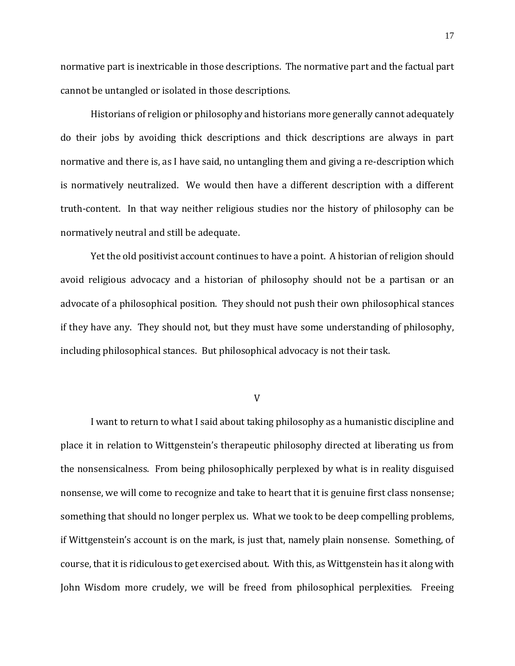normative part is inextricable in those descriptions. The normative part and the factual part cannot be untangled or isolated in those descriptions.

Historians of religion or philosophy and historians more generally cannot adequately do their jobs by avoiding thick descriptions and thick descriptions are always in part normative and there is, as I have said, no untangling them and giving a re-description which is normatively neutralized. We would then have a different description with a different truth-content. In that way neither religious studies nor the history of philosophy can be normatively neutral and still be adequate.

Yet the old positivist account continues to have a point. A historian of religion should avoid religious advocacy and a historian of philosophy should not be a partisan or an advocate of a philosophical position. They should not push their own philosophical stances if they have any. They should not, but they must have some understanding of philosophy, including philosophical stances. But philosophical advocacy is not their task.

V

I want to return to what I said about taking philosophy as a humanistic discipline and place it in relation to Wittgenstein's therapeutic philosophy directed at liberating us from the nonsensicalness. From being philosophically perplexed by what is in reality disguised nonsense, we will come to recognize and take to heart that it is genuine first class nonsense; something that should no longer perplex us. What we took to be deep compelling problems, if Wittgenstein's account is on the mark, is just that, namely plain nonsense. Something, of course, that it is ridiculous to get exercised about. With this, as Wittgenstein has it along with John Wisdom more crudely, we will be freed from philosophical perplexities. Freeing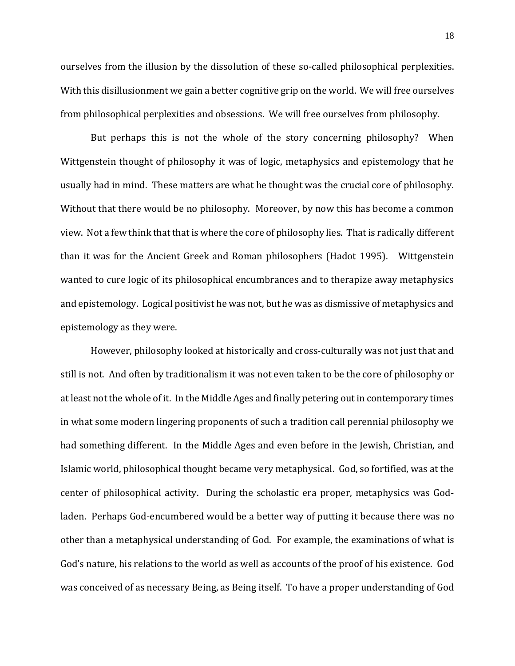ourselves from the illusion by the dissolution of these so-called philosophical perplexities. With this disillusionment we gain a better cognitive grip on the world. We will free ourselves from philosophical perplexities and obsessions. We will free ourselves from philosophy.

But perhaps this is not the whole of the story concerning philosophy? When Wittgenstein thought of philosophy it was of logic, metaphysics and epistemology that he usually had in mind. These matters are what he thought was the crucial core of philosophy. Without that there would be no philosophy. Moreover, by now this has become a common view. Not a few think that that is where the core of philosophy lies. That is radically different than it was for the Ancient Greek and Roman philosophers (Hadot 1995). Wittgenstein wanted to cure logic of its philosophical encumbrances and to therapize away metaphysics and epistemology. Logical positivist he was not, but he was as dismissive of metaphysics and epistemology as they were.

However, philosophy looked at historically and cross-culturally was not just that and still is not. And often by traditionalism it was not even taken to be the core of philosophy or at least not the whole of it. In the Middle Ages and finally petering out in contemporary times in what some modern lingering proponents of such a tradition call perennial philosophy we had something different. In the Middle Ages and even before in the Jewish, Christian, and Islamic world, philosophical thought became very metaphysical. God, so fortified, was at the center of philosophical activity. During the scholastic era proper, metaphysics was Godladen. Perhaps God-encumbered would be a better way of putting it because there was no other than a metaphysical understanding of God. For example, the examinations of what is God's nature, his relations to the world as well as accounts of the proof of his existence. God was conceived of as necessary Being, as Being itself. To have a proper understanding of God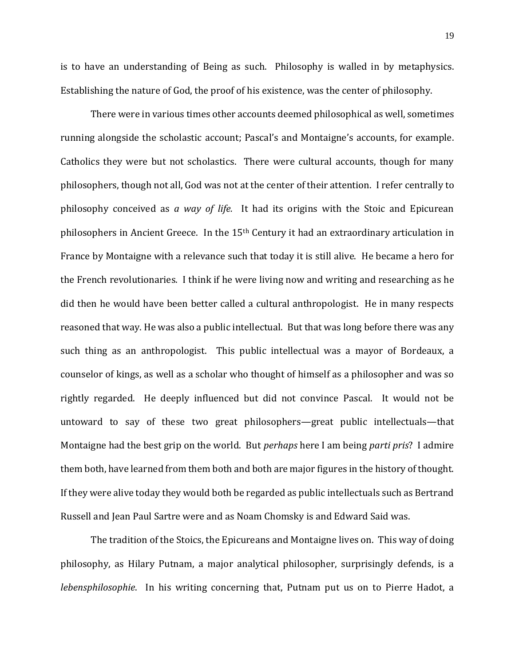is to have an understanding of Being as such. Philosophy is walled in by metaphysics. Establishing the nature of God, the proof of his existence, was the center of philosophy.

There were in various times other accounts deemed philosophical as well, sometimes running alongside the scholastic account; Pascal's and Montaigne's accounts, for example. Catholics they were but not scholastics. There were cultural accounts, though for many philosophers, though not all, God was not at the center of their attention. I refer centrally to philosophy conceived as *a way of life.* It had its origins with the Stoic and Epicurean philosophers in Ancient Greece. In the 15th Century it had an extraordinary articulation in France by Montaigne with a relevance such that today it is still alive. He became a hero for the French revolutionaries. I think if he were living now and writing and researching as he did then he would have been better called a cultural anthropologist. He in many respects reasoned that way. He was also a public intellectual. But that was long before there was any such thing as an anthropologist. This public intellectual was a mayor of Bordeaux, a counselor of kings, as well as a scholar who thought of himself as a philosopher and was so rightly regarded. He deeply influenced but did not convince Pascal. It would not be untoward to say of these two great philosophers—great public intellectuals—that Montaigne had the best grip on the world. But *perhaps* here I am being *parti pris*? I admire them both, have learned from them both and both are major figures in the history of thought. If they were alive today they would both be regarded as public intellectuals such as Bertrand Russell and Jean Paul Sartre were and as Noam Chomsky is and Edward Said was.

The tradition of the Stoics, the Epicureans and Montaigne lives on. This way of doing philosophy, as Hilary Putnam, a major analytical philosopher, surprisingly defends, is a *lebensphilosophie*. In his writing concerning that, Putnam put us on to Pierre Hadot, a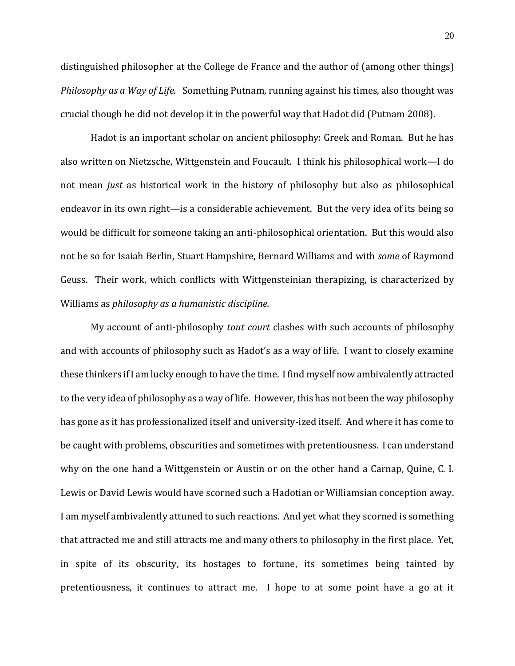distinguished philosopher at the College de France and the author of (among other things) *Philosophy as a Way of Life.* Something Putnam, running against his times, also thought was crucial though he did not develop it in the powerful way that Hadot did (Putnam 2008).

Hadot is an important scholar on ancient philosophy: Greek and Roman. But he has also written on Nietzsche, Wittgenstein and Foucault. I think his philosophical work—I do not mean *just* as historical work in the history of philosophy but also as philosophical endeavor in its own right—is a considerable achievement. But the very idea of its being so would be difficult for someone taking an anti-philosophical orientation. But this would also not be so for Isaiah Berlin, Stuart Hampshire, Bernard Williams and with *some* of Raymond Geuss. Their work, which conflicts with Wittgensteinian therapizing, is characterized by Williams as *philosophy as a humanistic discipline.*

My account of anti-philosophy *tout court* clashes with such accounts of philosophy and with accounts of philosophy such as Hadot's as a way of life. I want to closely examine these thinkers if I am lucky enough to have the time. I find myself now ambivalently attracted to the very idea of philosophy as a way of life. However, this has not been the way philosophy has gone as it has professionalized itself and university-ized itself. And where it has come to be caught with problems, obscurities and sometimes with pretentiousness. I can understand why on the one hand a Wittgenstein or Austin or on the other hand a Carnap, Quine, C. I. Lewis or David Lewis would have scorned such a Hadotian or Williamsian conception away. I am myself ambivalently attuned to such reactions. And yet what they scorned is something that attracted me and still attracts me and many others to philosophy in the first place. Yet, in spite of its obscurity, its hostages to fortune, its sometimes being tainted by pretentiousness, it continues to attract me. I hope to at some point have a go at it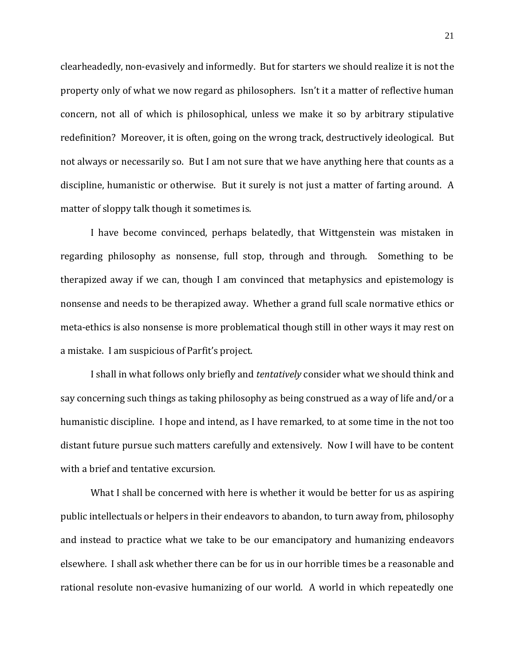clearheadedly, non-evasively and informedly. But for starters we should realize it is not the property only of what we now regard as philosophers. Isn't it a matter of reflective human concern, not all of which is philosophical, unless we make it so by arbitrary stipulative redefinition? Moreover, it is often, going on the wrong track, destructively ideological. But not always or necessarily so. But I am not sure that we have anything here that counts as a discipline, humanistic or otherwise. But it surely is not just a matter of farting around. A matter of sloppy talk though it sometimes is.

I have become convinced, perhaps belatedly, that Wittgenstein was mistaken in regarding philosophy as nonsense, full stop, through and through. Something to be therapized away if we can, though I am convinced that metaphysics and epistemology is nonsense and needs to be therapized away. Whether a grand full scale normative ethics or meta-ethics is also nonsense is more problematical though still in other ways it may rest on a mistake. I am suspicious of Parfit's project.

I shall in what follows only briefly and *tentatively* consider what we should think and say concerning such things as taking philosophy as being construed as a way of life and/or a humanistic discipline. I hope and intend, as I have remarked, to at some time in the not too distant future pursue such matters carefully and extensively. Now I will have to be content with a brief and tentative excursion.

What I shall be concerned with here is whether it would be better for us as aspiring public intellectuals or helpers in their endeavors to abandon, to turn away from, philosophy and instead to practice what we take to be our emancipatory and humanizing endeavors elsewhere. I shall ask whether there can be for us in our horrible times be a reasonable and rational resolute non-evasive humanizing of our world. A world in which repeatedly one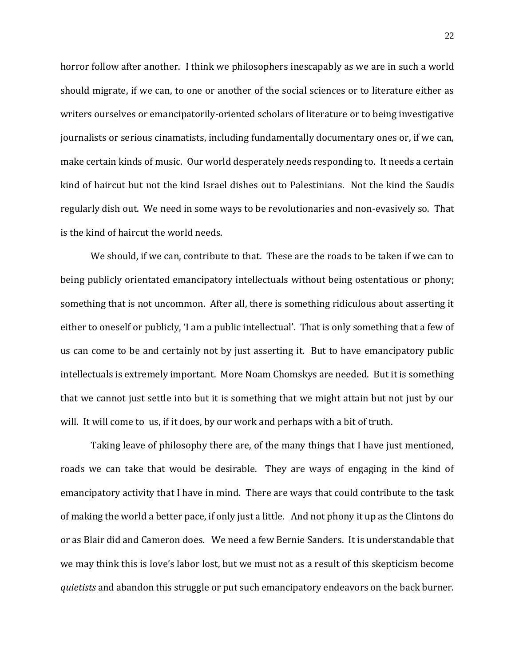horror follow after another. I think we philosophers inescapably as we are in such a world should migrate, if we can, to one or another of the social sciences or to literature either as writers ourselves or emancipatorily-oriented scholars of literature or to being investigative journalists or serious cinamatists, including fundamentally documentary ones or, if we can, make certain kinds of music. Our world desperately needs responding to. It needs a certain kind of haircut but not the kind Israel dishes out to Palestinians. Not the kind the Saudis regularly dish out. We need in some ways to be revolutionaries and non-evasively so. That is the kind of haircut the world needs.

We should, if we can, contribute to that. These are the roads to be taken if we can to being publicly orientated emancipatory intellectuals without being ostentatious or phony; something that is not uncommon. After all, there is something ridiculous about asserting it either to oneself or publicly, 'I am a public intellectual'. That is only something that a few of us can come to be and certainly not by just asserting it. But to have emancipatory public intellectuals is extremely important. More Noam Chomskys are needed. But it is something that we cannot just settle into but it is something that we might attain but not just by our will. It will come to us, if it does, by our work and perhaps with a bit of truth.

Taking leave of philosophy there are, of the many things that I have just mentioned, roads we can take that would be desirable. They are ways of engaging in the kind of emancipatory activity that I have in mind. There are ways that could contribute to the task of making the world a better pace, if only just a little. And not phony it up as the Clintons do or as Blair did and Cameron does. We need a few Bernie Sanders. It is understandable that we may think this is love's labor lost, but we must not as a result of this skepticism become *quietists* and abandon this struggle or put such emancipatory endeavors on the back burner.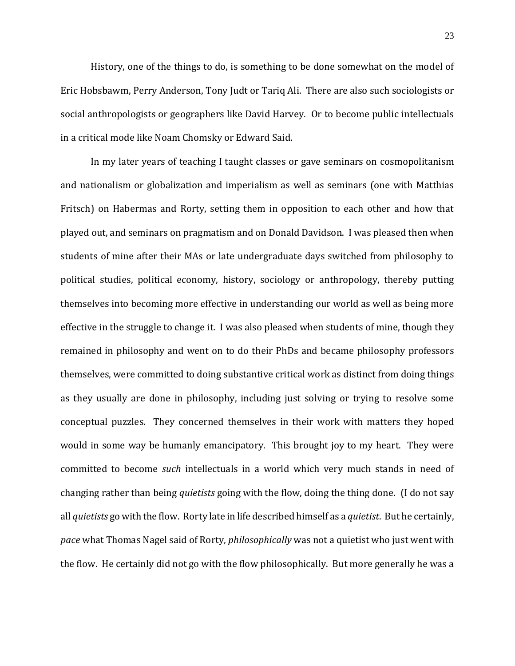History, one of the things to do, is something to be done somewhat on the model of Eric Hobsbawm, Perry Anderson, Tony Judt or Tariq Ali. There are also such sociologists or social anthropologists or geographers like David Harvey. Or to become public intellectuals in a critical mode like Noam Chomsky or Edward Said.

In my later years of teaching I taught classes or gave seminars on cosmopolitanism and nationalism or globalization and imperialism as well as seminars (one with Matthias Fritsch) on Habermas and Rorty, setting them in opposition to each other and how that played out, and seminars on pragmatism and on Donald Davidson. I was pleased then when students of mine after their MAs or late undergraduate days switched from philosophy to political studies, political economy, history, sociology or anthropology, thereby putting themselves into becoming more effective in understanding our world as well as being more effective in the struggle to change it. I was also pleased when students of mine, though they remained in philosophy and went on to do their PhDs and became philosophy professors themselves, were committed to doing substantive critical work as distinct from doing things as they usually are done in philosophy, including just solving or trying to resolve some conceptual puzzles. They concerned themselves in their work with matters they hoped would in some way be humanly emancipatory. This brought joy to my heart. They were committed to become *such* intellectuals in a world which very much stands in need of changing rather than being *quietists* going with the flow, doing the thing done. (I do not say all *quietists* go with the flow. Rorty late in life described himself as a *quietist*. But he certainly, *pace* what Thomas Nagel said of Rorty, *philosophically* was not a quietist who just went with the flow. He certainly did not go with the flow philosophically. But more generally he was a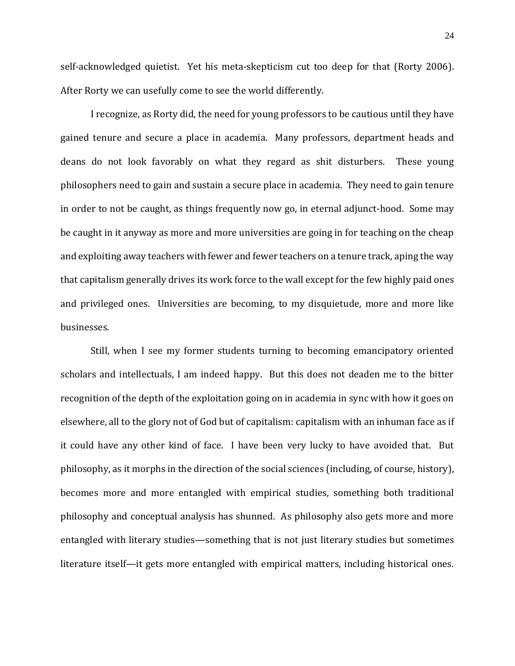self-acknowledged quietist. Yet his meta-skepticism cut too deep for that (Rorty 2006). After Rorty we can usefully come to see the world differently.

I recognize, as Rorty did, the need for young professors to be cautious until they have gained tenure and secure a place in academia. Many professors, department heads and deans do not look favorably on what they regard as shit disturbers. These young philosophers need to gain and sustain a secure place in academia. They need to gain tenure in order to not be caught, as things frequently now go, in eternal adjunct-hood. Some may be caught in it anyway as more and more universities are going in for teaching on the cheap and exploiting away teachers with fewer and fewer teachers on a tenure track, aping the way that capitalism generally drives its work force to the wall except for the few highly paid ones and privileged ones. Universities are becoming, to my disquietude, more and more like businesses.

Still, when I see my former students turning to becoming emancipatory oriented scholars and intellectuals, I am indeed happy. But this does not deaden me to the bitter recognition of the depth of the exploitation going on in academia in sync with how it goes on elsewhere, all to the glory not of God but of capitalism: capitalism with an inhuman face as if it could have any other kind of face. I have been very lucky to have avoided that. But philosophy, as it morphs in the direction of the social sciences (including, of course, history), becomes more and more entangled with empirical studies, something both traditional philosophy and conceptual analysis has shunned. As philosophy also gets more and more entangled with literary studies—something that is not just literary studies but sometimes literature itself—it gets more entangled with empirical matters, including historical ones.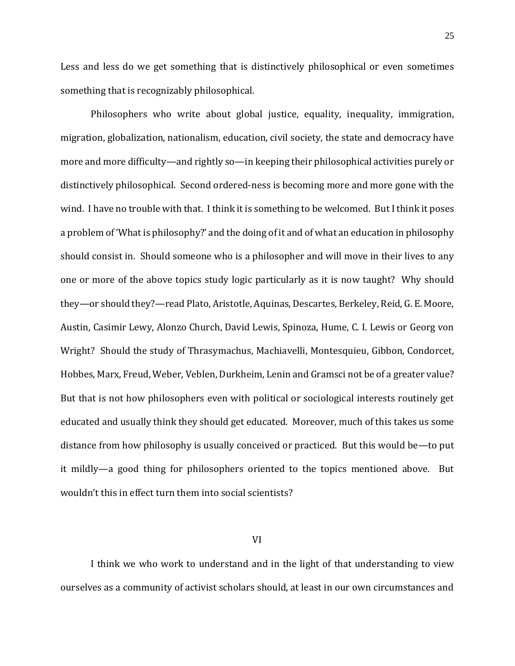Less and less do we get something that is distinctively philosophical or even sometimes something that is recognizably philosophical.

Philosophers who write about global justice, equality, inequality, immigration, migration, globalization, nationalism, education, civil society, the state and democracy have more and more difficulty—and rightly so—in keeping their philosophical activities purely or distinctively philosophical. Second ordered-ness is becoming more and more gone with the wind. I have no trouble with that. I think it is something to be welcomed. But I think it poses a problem of 'What is philosophy?' and the doing of it and of what an education in philosophy should consist in. Should someone who is a philosopher and will move in their lives to any one or more of the above topics study logic particularly as it is now taught? Why should they—or should they?—read Plato, Aristotle, Aquinas, Descartes, Berkeley, Reid, G. E. Moore, Austin, Casimir Lewy, Alonzo Church, David Lewis, Spinoza, Hume, C. I. Lewis or Georg von Wright? Should the study of Thrasymachus, Machiavelli, Montesquieu, Gibbon, Condorcet, Hobbes, Marx, Freud, Weber, Veblen, Durkheim, Lenin and Gramsci not be of a greater value? But that is not how philosophers even with political or sociological interests routinely get educated and usually think they should get educated. Moreover, much of this takes us some distance from how philosophy is usually conceived or practiced. But this would be—to put it mildly—a good thing for philosophers oriented to the topics mentioned above. But wouldn't this in effect turn them into social scientists?

#### VI

I think we who work to understand and in the light of that understanding to view ourselves as a community of activist scholars should, at least in our own circumstances and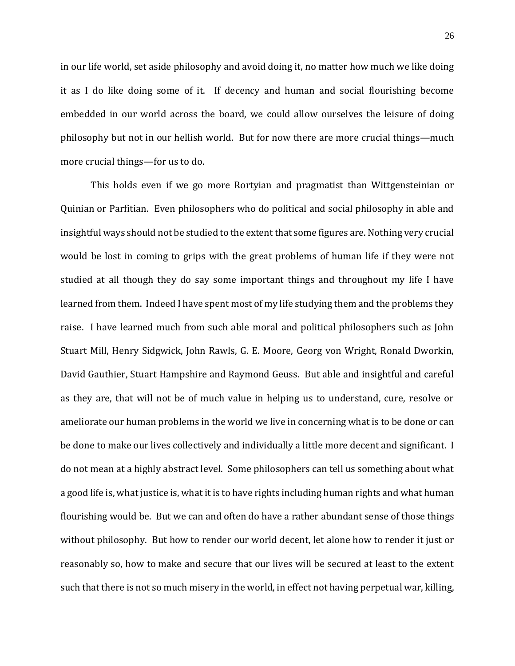in our life world, set aside philosophy and avoid doing it, no matter how much we like doing it as I do like doing some of it. If decency and human and social flourishing become embedded in our world across the board, we could allow ourselves the leisure of doing philosophy but not in our hellish world. But for now there are more crucial things—much more crucial things—for us to do.

This holds even if we go more Rortyian and pragmatist than Wittgensteinian or Quinian or Parfitian. Even philosophers who do political and social philosophy in able and insightful ways should not be studied to the extent that some figures are. Nothing very crucial would be lost in coming to grips with the great problems of human life if they were not studied at all though they do say some important things and throughout my life I have learned from them. Indeed I have spent most of my life studying them and the problems they raise. I have learned much from such able moral and political philosophers such as John Stuart Mill, Henry Sidgwick, John Rawls, G. E. Moore, Georg von Wright, Ronald Dworkin, David Gauthier, Stuart Hampshire and Raymond Geuss. But able and insightful and careful as they are, that will not be of much value in helping us to understand, cure, resolve or ameliorate our human problems in the world we live in concerning what is to be done or can be done to make our lives collectively and individually a little more decent and significant. I do not mean at a highly abstract level. Some philosophers can tell us something about what a good life is, what justice is, what it is to have rights including human rights and what human flourishing would be. But we can and often do have a rather abundant sense of those things without philosophy. But how to render our world decent, let alone how to render it just or reasonably so, how to make and secure that our lives will be secured at least to the extent such that there is not so much misery in the world, in effect not having perpetual war, killing,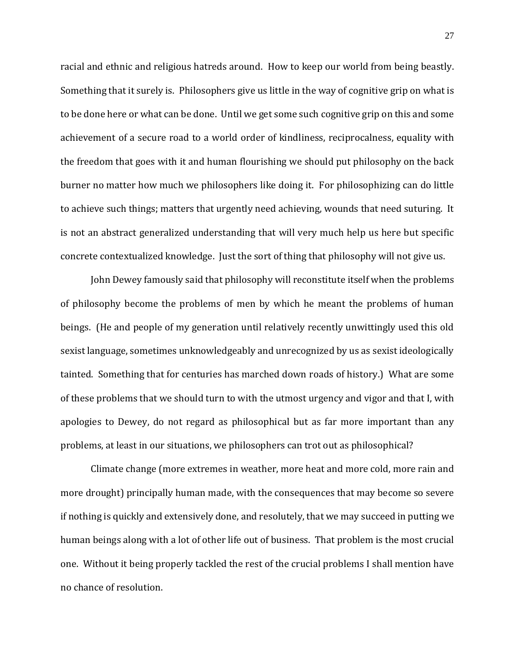racial and ethnic and religious hatreds around. How to keep our world from being beastly. Something that it surely is. Philosophers give us little in the way of cognitive grip on what is to be done here or what can be done. Until we get some such cognitive grip on this and some achievement of a secure road to a world order of kindliness, reciprocalness, equality with the freedom that goes with it and human flourishing we should put philosophy on the back burner no matter how much we philosophers like doing it. For philosophizing can do little to achieve such things; matters that urgently need achieving, wounds that need suturing. It is not an abstract generalized understanding that will very much help us here but specific concrete contextualized knowledge. Just the sort of thing that philosophy will not give us.

John Dewey famously said that philosophy will reconstitute itself when the problems of philosophy become the problems of men by which he meant the problems of human beings. (He and people of my generation until relatively recently unwittingly used this old sexist language, sometimes unknowledgeably and unrecognized by us as sexist ideologically tainted. Something that for centuries has marched down roads of history.) What are some of these problems that we should turn to with the utmost urgency and vigor and that I, with apologies to Dewey, do not regard as philosophical but as far more important than any problems, at least in our situations, we philosophers can trot out as philosophical?

Climate change (more extremes in weather, more heat and more cold, more rain and more drought) principally human made, with the consequences that may become so severe if nothing is quickly and extensively done, and resolutely, that we may succeed in putting we human beings along with a lot of other life out of business. That problem is the most crucial one. Without it being properly tackled the rest of the crucial problems I shall mention have no chance of resolution.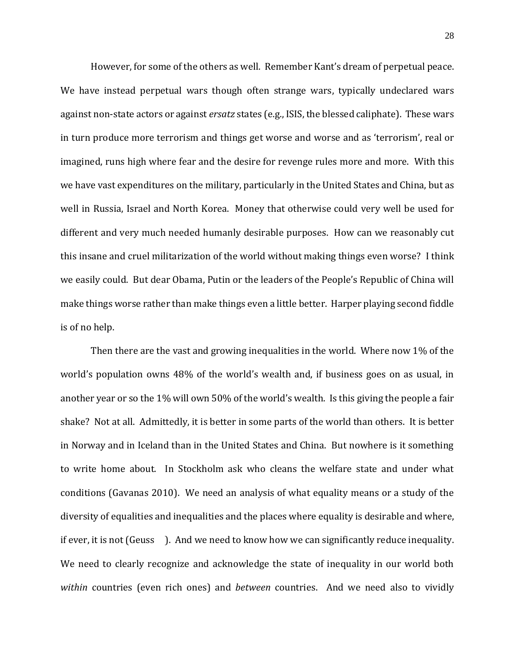However, for some of the others as well. Remember Kant's dream of perpetual peace. We have instead perpetual wars though often strange wars, typically undeclared wars against non-state actors or against *ersatz* states (e.g., ISIS, the blessed caliphate). These wars in turn produce more terrorism and things get worse and worse and as 'terrorism', real or imagined, runs high where fear and the desire for revenge rules more and more. With this we have vast expenditures on the military, particularly in the United States and China, but as well in Russia, Israel and North Korea. Money that otherwise could very well be used for different and very much needed humanly desirable purposes. How can we reasonably cut this insane and cruel militarization of the world without making things even worse? I think we easily could. But dear Obama, Putin or the leaders of the People's Republic of China will make things worse rather than make things even a little better. Harper playing second fiddle is of no help.

Then there are the vast and growing inequalities in the world. Where now 1% of the world's population owns 48% of the world's wealth and, if business goes on as usual, in another year or so the 1% will own 50% of the world's wealth. Is this giving the people a fair shake? Not at all. Admittedly, it is better in some parts of the world than others. It is better in Norway and in Iceland than in the United States and China. But nowhere is it something to write home about. In Stockholm ask who cleans the welfare state and under what conditions (Gavanas 2010). We need an analysis of what equality means or a study of the diversity of equalities and inequalities and the places where equality is desirable and where, if ever, it is not (Geuss ). And we need to know how we can significantly reduce inequality. We need to clearly recognize and acknowledge the state of inequality in our world both *within* countries (even rich ones) and *between* countries. And we need also to vividly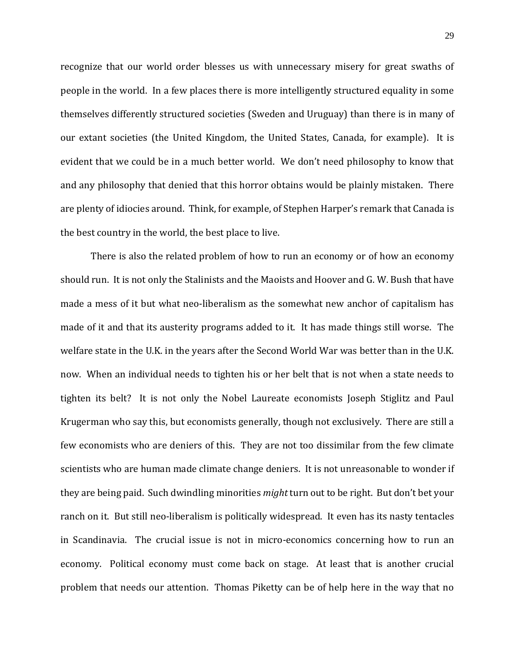recognize that our world order blesses us with unnecessary misery for great swaths of people in the world. In a few places there is more intelligently structured equality in some themselves differently structured societies (Sweden and Uruguay) than there is in many of our extant societies (the United Kingdom, the United States, Canada, for example). It is evident that we could be in a much better world. We don't need philosophy to know that and any philosophy that denied that this horror obtains would be plainly mistaken. There are plenty of idiocies around. Think, for example, of Stephen Harper's remark that Canada is the best country in the world, the best place to live.

There is also the related problem of how to run an economy or of how an economy should run. It is not only the Stalinists and the Maoists and Hoover and G. W. Bush that have made a mess of it but what neo-liberalism as the somewhat new anchor of capitalism has made of it and that its austerity programs added to it. It has made things still worse. The welfare state in the U.K. in the years after the Second World War was better than in the U.K. now. When an individual needs to tighten his or her belt that is not when a state needs to tighten its belt? It is not only the Nobel Laureate economists Joseph Stiglitz and Paul Krugerman who say this, but economists generally, though not exclusively. There are still a few economists who are deniers of this. They are not too dissimilar from the few climate scientists who are human made climate change deniers. It is not unreasonable to wonder if they are being paid. Such dwindling minorities *might* turn out to be right. But don't bet your ranch on it. But still neo-liberalism is politically widespread. It even has its nasty tentacles in Scandinavia. The crucial issue is not in micro-economics concerning how to run an economy. Political economy must come back on stage. At least that is another crucial problem that needs our attention. Thomas Piketty can be of help here in the way that no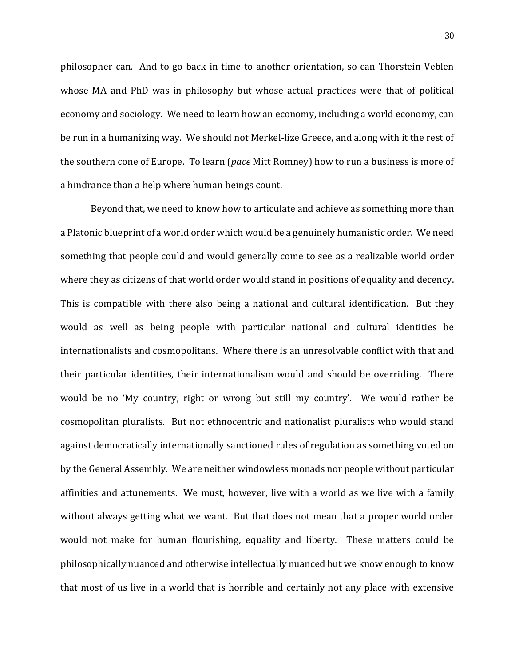philosopher can. And to go back in time to another orientation, so can Thorstein Veblen whose MA and PhD was in philosophy but whose actual practices were that of political economy and sociology. We need to learn how an economy, including a world economy, can be run in a humanizing way. We should not Merkel-lize Greece, and along with it the rest of the southern cone of Europe. To learn (*pace* Mitt Romney) how to run a business is more of a hindrance than a help where human beings count.

Beyond that, we need to know how to articulate and achieve as something more than a Platonic blueprint of a world order which would be a genuinely humanistic order. We need something that people could and would generally come to see as a realizable world order where they as citizens of that world order would stand in positions of equality and decency. This is compatible with there also being a national and cultural identification. But they would as well as being people with particular national and cultural identities be internationalists and cosmopolitans. Where there is an unresolvable conflict with that and their particular identities, their internationalism would and should be overriding. There would be no 'My country, right or wrong but still my country'. We would rather be cosmopolitan pluralists. But not ethnocentric and nationalist pluralists who would stand against democratically internationally sanctioned rules of regulation as something voted on by the General Assembly. We are neither windowless monads nor people without particular affinities and attunements. We must, however, live with a world as we live with a family without always getting what we want. But that does not mean that a proper world order would not make for human flourishing, equality and liberty. These matters could be philosophically nuanced and otherwise intellectually nuanced but we know enough to know that most of us live in a world that is horrible and certainly not any place with extensive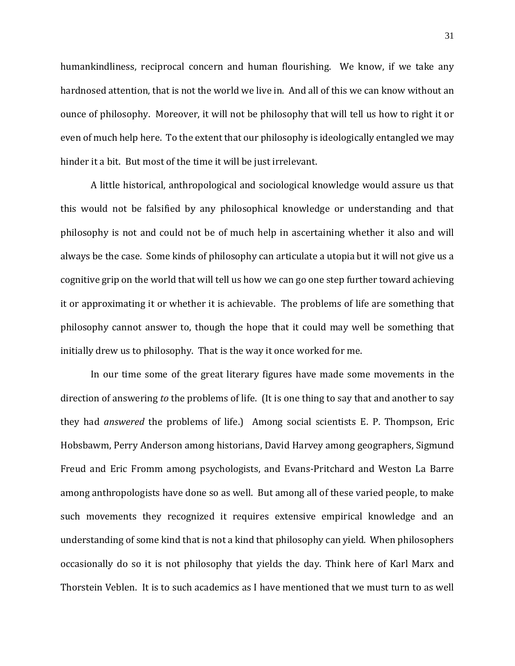humankindliness, reciprocal concern and human flourishing. We know, if we take any hardnosed attention, that is not the world we live in. And all of this we can know without an ounce of philosophy. Moreover, it will not be philosophy that will tell us how to right it or even of much help here. To the extent that our philosophy is ideologically entangled we may hinder it a bit. But most of the time it will be just irrelevant.

A little historical, anthropological and sociological knowledge would assure us that this would not be falsified by any philosophical knowledge or understanding and that philosophy is not and could not be of much help in ascertaining whether it also and will always be the case. Some kinds of philosophy can articulate a utopia but it will not give us a cognitive grip on the world that will tell us how we can go one step further toward achieving it or approximating it or whether it is achievable. The problems of life are something that philosophy cannot answer to, though the hope that it could may well be something that initially drew us to philosophy. That is the way it once worked for me.

In our time some of the great literary figures have made some movements in the direction of answering *to* the problems of life. (It is one thing to say that and another to say they had *answered* the problems of life.) Among social scientists E. P. Thompson, Eric Hobsbawm, Perry Anderson among historians, David Harvey among geographers, Sigmund Freud and Eric Fromm among psychologists, and Evans-Pritchard and Weston La Barre among anthropologists have done so as well. But among all of these varied people, to make such movements they recognized it requires extensive empirical knowledge and an understanding of some kind that is not a kind that philosophy can yield. When philosophers occasionally do so it is not philosophy that yields the day. Think here of Karl Marx and Thorstein Veblen. It is to such academics as I have mentioned that we must turn to as well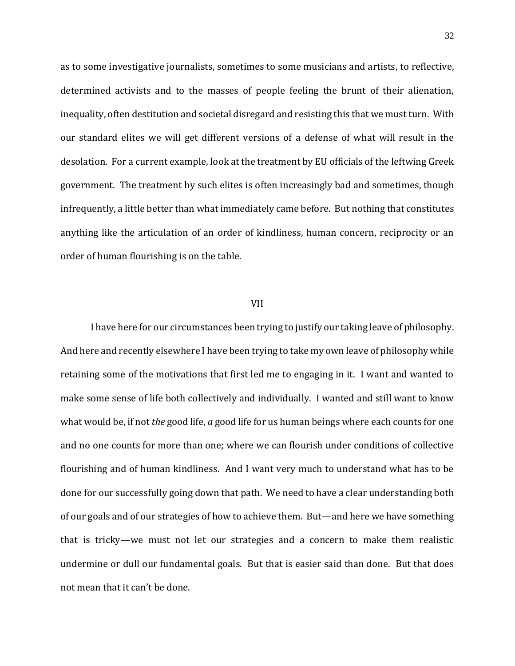as to some investigative journalists, sometimes to some musicians and artists, to reflective, determined activists and to the masses of people feeling the brunt of their alienation, inequality, often destitution and societal disregard and resisting this that we must turn. With our standard elites we will get different versions of a defense of what will result in the desolation. For a current example, look at the treatment by EU officials of the leftwing Greek government. The treatment by such elites is often increasingly bad and sometimes, though infrequently, a little better than what immediately came before. But nothing that constitutes anything like the articulation of an order of kindliness, human concern, reciprocity or an order of human flourishing is on the table.

#### VII

I have here for our circumstances been trying to justify our taking leave of philosophy. And here and recently elsewhere I have been trying to take my own leave of philosophy while retaining some of the motivations that first led me to engaging in it. I want and wanted to make some sense of life both collectively and individually. I wanted and still want to know what would be, if not *the* good life, *a* good life for us human beings where each counts for one and no one counts for more than one; where we can flourish under conditions of collective flourishing and of human kindliness. And I want very much to understand what has to be done for our successfully going down that path. We need to have a clear understanding both of our goals and of our strategies of how to achieve them. But—and here we have something that is tricky—we must not let our strategies and a concern to make them realistic undermine or dull our fundamental goals. But that is easier said than done. But that does not mean that it can't be done.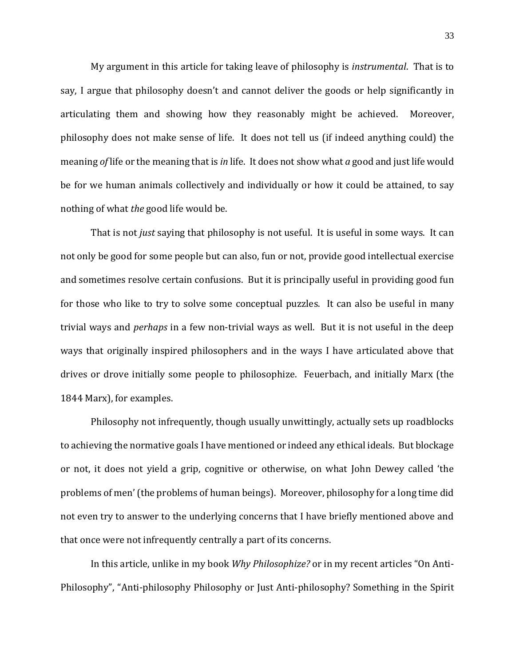My argument in this article for taking leave of philosophy is *instrumental*. That is to say, I argue that philosophy doesn't and cannot deliver the goods or help significantly in articulating them and showing how they reasonably might be achieved. Moreover, philosophy does not make sense of life. It does not tell us (if indeed anything could) the meaning *of* life or the meaning that is *in* life. It does not show what *a* good and just life would be for we human animals collectively and individually or how it could be attained, to say nothing of what *the* good life would be.

That is not *just* saying that philosophy is not useful. It is useful in some ways. It can not only be good for some people but can also, fun or not, provide good intellectual exercise and sometimes resolve certain confusions. But it is principally useful in providing good fun for those who like to try to solve some conceptual puzzles. It can also be useful in many trivial ways and *perhaps* in a few non-trivial ways as well. But it is not useful in the deep ways that originally inspired philosophers and in the ways I have articulated above that drives or drove initially some people to philosophize. Feuerbach, and initially Marx (the 1844 Marx), for examples.

Philosophy not infrequently, though usually unwittingly, actually sets up roadblocks to achieving the normative goals I have mentioned or indeed any ethical ideals. But blockage or not, it does not yield a grip, cognitive or otherwise, on what John Dewey called 'the problems of men' (the problems of human beings). Moreover, philosophy for a long time did not even try to answer to the underlying concerns that I have briefly mentioned above and that once were not infrequently centrally a part of its concerns.

In this article, unlike in my book *Why Philosophize?* or in my recent articles "On Anti-Philosophy", "Anti-philosophy Philosophy or Just Anti-philosophy? Something in the Spirit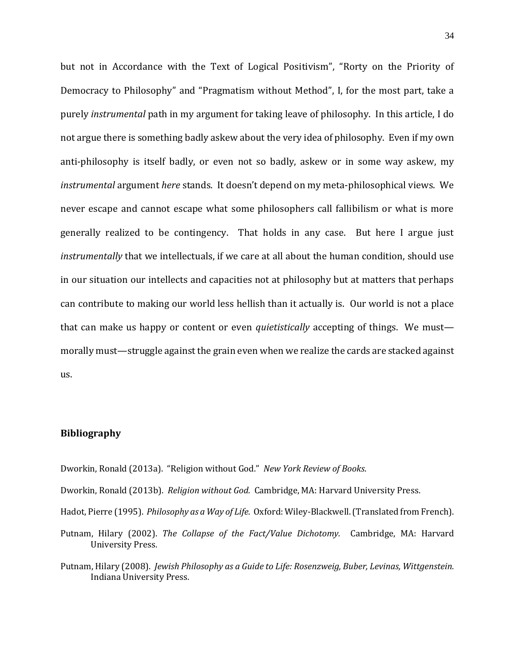but not in Accordance with the Text of Logical Positivism", "Rorty on the Priority of Democracy to Philosophy" and "Pragmatism without Method", I, for the most part, take a purely *instrumental* path in my argument for taking leave of philosophy. In this article, I do not argue there is something badly askew about the very idea of philosophy. Even if my own anti-philosophy is itself badly, or even not so badly, askew or in some way askew, my *instrumental* argument *here* stands. It doesn't depend on my meta-philosophical views. We never escape and cannot escape what some philosophers call fallibilism or what is more generally realized to be contingency. That holds in any case. But here I argue just *instrumentally* that we intellectuals, if we care at all about the human condition, should use in our situation our intellects and capacities not at philosophy but at matters that perhaps can contribute to making our world less hellish than it actually is. Our world is not a place that can make us happy or content or even *quietistically* accepting of things. We must morally must—struggle against the grain even when we realize the cards are stacked against us.

### **Bibliography**

- Dworkin, Ronald (2013a). "Religion without God." *New York Review of Books*.
- Dworkin, Ronald (2013b). *Religion without God.* Cambridge, MA: Harvard University Press.
- Hadot, Pierre (1995). *Philosophy as a Way of Life.* Oxford: Wiley-Blackwell.(Translated from French).
- Putnam, Hilary (2002). *The Collapse of the Fact/Value Dichotomy.* Cambridge, MA: Harvard University Press.
- Putnam, Hilary (2008). *Jewish Philosophy as a Guide to Life: Rosenzweig, Buber, Levinas, Wittgenstein.* Indiana University Press.